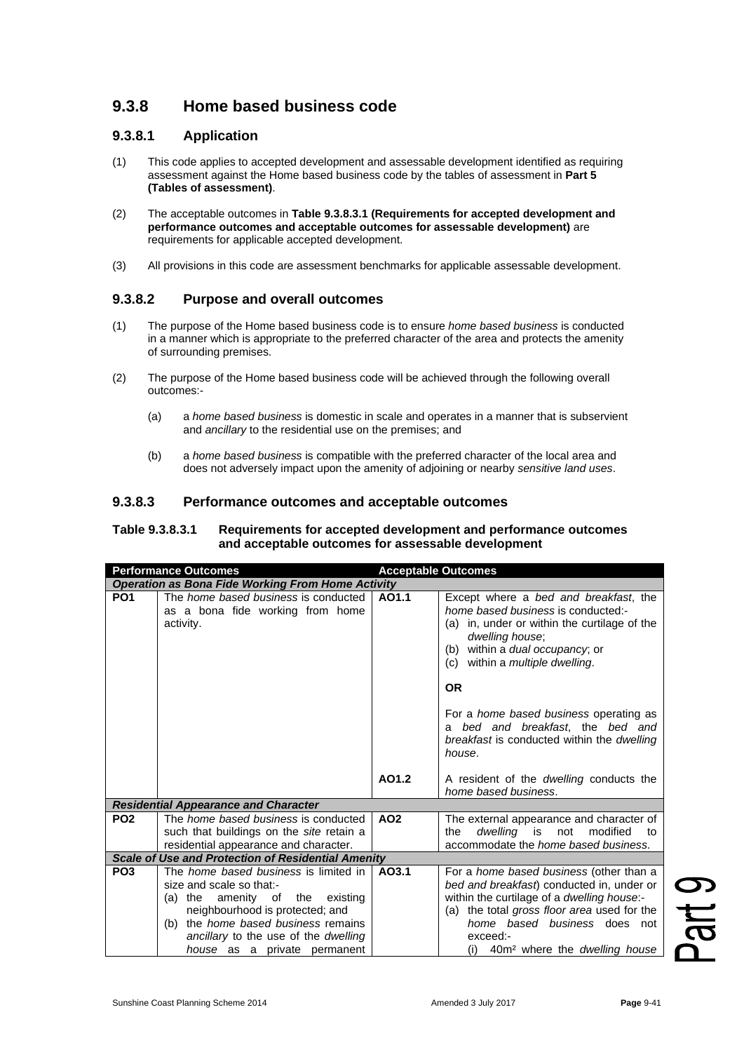# **9.3.8 Home based business code**

## **9.3.8.1 Application**

- (1) This code applies to accepted development and assessable development identified as requiring assessment against the Home based business code by the tables of assessment in **Part 5 (Tables of assessment)**.
- (2) The acceptable outcomes in **Table 9.3.8.3.1 (Requirements for accepted development and performance outcomes and acceptable outcomes for assessable development)** are requirements for applicable accepted development.
- (3) All provisions in this code are assessment benchmarks for applicable assessable development.

## **9.3.8.2 Purpose and overall outcomes**

- (1) The purpose of the Home based business code is to ensure *home based business* is conducted in a manner which is appropriate to the preferred character of the area and protects the amenity of surrounding premises.
- (2) The purpose of the Home based business code will be achieved through the following overall outcomes:-
	- (a) a *home based business* is domestic in scale and operates in a manner that is subservient and *ancillary* to the residential use on the premises; and
	- (b) a *home based business* is compatible with the preferred character of the local area and does not adversely impact upon the amenity of adjoining or nearby *sensitive land uses*.

#### **9.3.8.3 Performance outcomes and acceptable outcomes**

#### **Table 9.3.8.3.1 Requirements for accepted development and performance outcomes and acceptable outcomes for assessable development**

| <b>Performance Outcomes</b>                               |                                                                                                                                                                                                                                                                              | <b>Acceptable Outcomes</b> |                                                                                                                                                                                                                                                                                                 |  |  |
|-----------------------------------------------------------|------------------------------------------------------------------------------------------------------------------------------------------------------------------------------------------------------------------------------------------------------------------------------|----------------------------|-------------------------------------------------------------------------------------------------------------------------------------------------------------------------------------------------------------------------------------------------------------------------------------------------|--|--|
| <b>Operation as Bona Fide Working From Home Activity</b>  |                                                                                                                                                                                                                                                                              |                            |                                                                                                                                                                                                                                                                                                 |  |  |
| PO <sub>1</sub>                                           | The <i>home based business</i> is conducted<br>as a bona fide working from home<br>activity.                                                                                                                                                                                 | AO1.1                      | Except where a bed and breakfast, the<br>home based business is conducted:-<br>(a) in, under or within the curtilage of the<br>dwelling house;<br>(b) within a <i>dual</i> occupancy; or<br>(c) within a <i>multiple dwelling</i> .                                                             |  |  |
|                                                           |                                                                                                                                                                                                                                                                              |                            | <b>OR</b>                                                                                                                                                                                                                                                                                       |  |  |
|                                                           |                                                                                                                                                                                                                                                                              |                            | For a <i>home based business</i> operating as<br>a bed and breakfast, the bed and<br>breakfast is conducted within the dwelling<br>house.                                                                                                                                                       |  |  |
|                                                           |                                                                                                                                                                                                                                                                              | AO1.2                      | A resident of the <i>dwelling</i> conducts the<br>home based business.                                                                                                                                                                                                                          |  |  |
| <b>Residential Appearance and Character</b>               |                                                                                                                                                                                                                                                                              |                            |                                                                                                                                                                                                                                                                                                 |  |  |
| PO <sub>2</sub>                                           | The <i>home based business</i> is conducted<br>such that buildings on the site retain a<br>residential appearance and character.                                                                                                                                             | AO <sub>2</sub>            | The external appearance and character of<br>dwelling is not modified<br>the<br>to<br>accommodate the <i>home based business</i> .                                                                                                                                                               |  |  |
| <b>Scale of Use and Protection of Residential Amenity</b> |                                                                                                                                                                                                                                                                              |                            |                                                                                                                                                                                                                                                                                                 |  |  |
| PO <sub>3</sub>                                           | The <i>home based business</i> is limited in<br>size and scale so that:-<br>amenity of the existing<br>$(a)$ the<br>neighbourhood is protected; and<br>the <i>home based business</i> remains<br>(b)<br>ancillary to the use of the dwelling<br>house as a private permanent | AO3.1                      | For a <i>home based business</i> (other than a<br>bed and breakfast) conducted in, under or<br>within the curtilage of a dwelling house:-<br>(a) the total gross floor area used for the<br>home based business does not<br>exceed:-<br>40m <sup>2</sup> where the <i>dwelling house</i><br>(i) |  |  |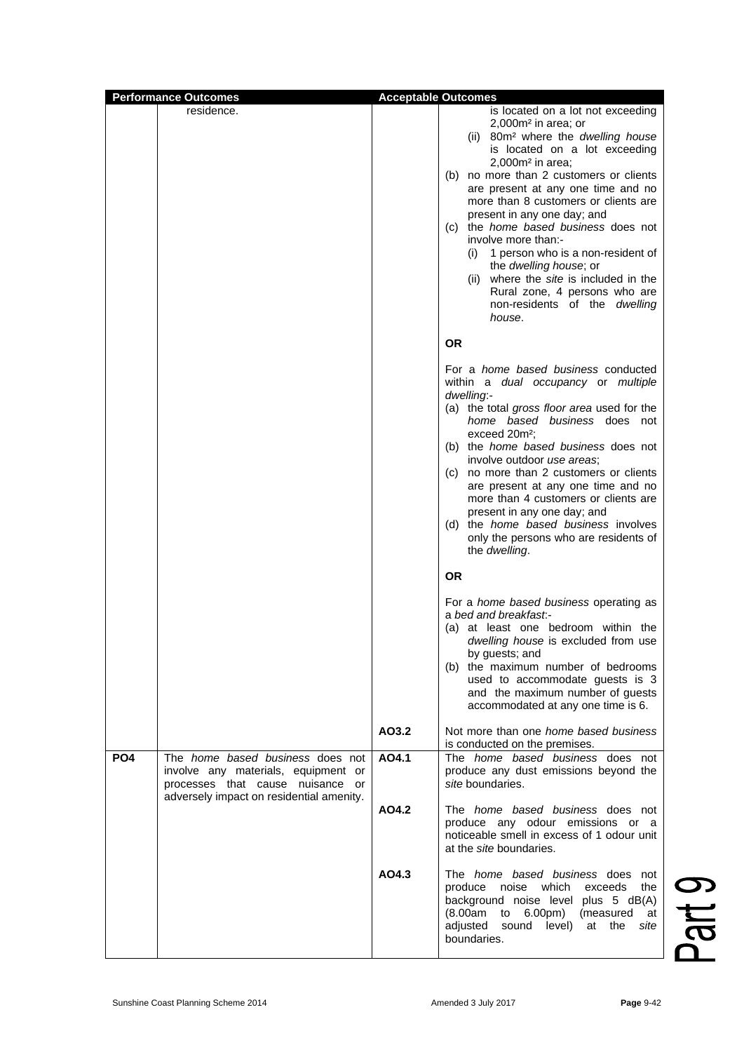| <b>Performance Outcomes</b> |                                                                                                                                                                |       | <b>Acceptable Outcomes</b>                                                                                                                                                                                                                                                                                                                                                                                                                                                                                                                                                                                                                                                                                                                                                                                                                                                                          |
|-----------------------------|----------------------------------------------------------------------------------------------------------------------------------------------------------------|-------|-----------------------------------------------------------------------------------------------------------------------------------------------------------------------------------------------------------------------------------------------------------------------------------------------------------------------------------------------------------------------------------------------------------------------------------------------------------------------------------------------------------------------------------------------------------------------------------------------------------------------------------------------------------------------------------------------------------------------------------------------------------------------------------------------------------------------------------------------------------------------------------------------------|
|                             | residence.                                                                                                                                                     |       | is located on a lot not exceeding<br>$2,000m2$ in area; or<br>(ii) 80m <sup>2</sup> where the dwelling house                                                                                                                                                                                                                                                                                                                                                                                                                                                                                                                                                                                                                                                                                                                                                                                        |
|                             |                                                                                                                                                                |       | is located on a lot exceeding<br>$2,000m2$ in area;<br>(b) no more than 2 customers or clients<br>are present at any one time and no<br>more than 8 customers or clients are<br>present in any one day; and<br>(c) the <i>home based business</i> does not<br>involve more than:-<br>(i) 1 person who is a non-resident of<br>the dwelling house; or<br>(ii) where the site is included in the<br>Rural zone, 4 persons who are<br>non-residents of the <i>dwelling</i><br>house.                                                                                                                                                                                                                                                                                                                                                                                                                   |
|                             |                                                                                                                                                                |       | <b>OR</b>                                                                                                                                                                                                                                                                                                                                                                                                                                                                                                                                                                                                                                                                                                                                                                                                                                                                                           |
|                             |                                                                                                                                                                |       | For a <i>home based business</i> conducted<br>within a dual occupancy or multiple<br>dwelling:-<br>(a) the total gross floor area used for the<br>home based business does not<br>exceed 20m <sup>2</sup> ;<br>(b) the <i>home based business</i> does not<br>involve outdoor use areas;<br>(c) no more than 2 customers or clients<br>are present at any one time and no<br>more than 4 customers or clients are<br>present in any one day; and<br>(d) the <i>home based business</i> involves<br>only the persons who are residents of<br>the dwelling.<br><b>OR</b><br>For a <i>home based business</i> operating as<br>a bed and breakfast.-<br>(a) at least one bedroom within the<br>dwelling house is excluded from use<br>by guests; and<br>(b) the maximum number of bedrooms<br>used to accommodate guests is 3<br>and the maximum number of guests<br>accommodated at any one time is 6. |
|                             |                                                                                                                                                                | AO3.2 | Not more than one <i>home based business</i>                                                                                                                                                                                                                                                                                                                                                                                                                                                                                                                                                                                                                                                                                                                                                                                                                                                        |
| <b>PO4</b>                  | The <i>home based business</i> does not<br>involve any materials, equipment or<br>processes that cause nuisance or<br>adversely impact on residential amenity. | AO4.1 | is conducted on the premises.<br>The <i>home based business</i> does not<br>produce any dust emissions beyond the<br>site boundaries.                                                                                                                                                                                                                                                                                                                                                                                                                                                                                                                                                                                                                                                                                                                                                               |
|                             |                                                                                                                                                                | AO4.2 | The <i>home based business</i> does not<br>produce any odour emissions or a<br>noticeable smell in excess of 1 odour unit<br>at the <i>site</i> boundaries.                                                                                                                                                                                                                                                                                                                                                                                                                                                                                                                                                                                                                                                                                                                                         |
|                             |                                                                                                                                                                | AO4.3 | The home based business does not<br>produce<br>noise which<br>exceeds<br>the<br>background noise level plus 5 dB(A)<br>(8.00am)<br>6.00pm)<br>to<br>(measured<br>at<br>adjusted<br>sound level)<br>at the<br>site<br>boundaries.                                                                                                                                                                                                                                                                                                                                                                                                                                                                                                                                                                                                                                                                    |

Part 9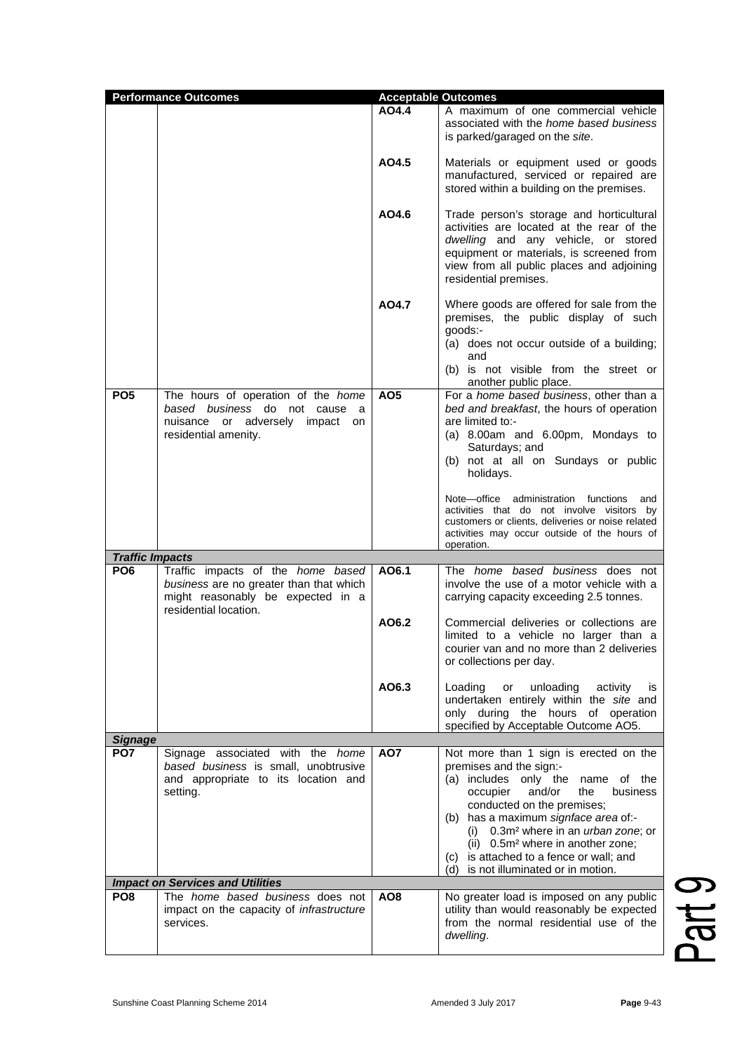| <b>Performance Outcomes</b> |                                                                                                                                            | <b>Acceptable Outcomes</b> |                                                                                                                                                                                                                                                                                                                                                                                                                 |
|-----------------------------|--------------------------------------------------------------------------------------------------------------------------------------------|----------------------------|-----------------------------------------------------------------------------------------------------------------------------------------------------------------------------------------------------------------------------------------------------------------------------------------------------------------------------------------------------------------------------------------------------------------|
|                             |                                                                                                                                            | AO4.4                      | A maximum of one commercial vehicle<br>associated with the home based business<br>is parked/garaged on the site.                                                                                                                                                                                                                                                                                                |
|                             |                                                                                                                                            | AO4.5                      | Materials or equipment used or goods<br>manufactured, serviced or repaired are<br>stored within a building on the premises.                                                                                                                                                                                                                                                                                     |
|                             |                                                                                                                                            | AO4.6                      | Trade person's storage and horticultural<br>activities are located at the rear of the<br>dwelling and any vehicle, or stored<br>equipment or materials, is screened from<br>view from all public places and adjoining<br>residential premises.                                                                                                                                                                  |
|                             |                                                                                                                                            | AO4.7                      | Where goods are offered for sale from the<br>premises, the public display of such<br>goods:-<br>(a) does not occur outside of a building;<br>and<br>(b) is not visible from the street or<br>another public place.                                                                                                                                                                                              |
| PO <sub>5</sub>             | The hours of operation of the home<br>based business do not cause a<br>nuisance or adversely impact<br>on<br>residential amenity.          | AO <sub>5</sub>            | For a home based business, other than a<br>bed and breakfast, the hours of operation<br>are limited to:-<br>(a) 8.00am and 6.00pm, Mondays to<br>Saturdays; and<br>(b) not at all on Sundays or public<br>holidays.                                                                                                                                                                                             |
|                             |                                                                                                                                            |                            | Note-office administration functions<br>and<br>activities that do not involve visitors by<br>customers or clients, deliveries or noise related<br>activities may occur outside of the hours of<br>operation.                                                                                                                                                                                                    |
| <b>Traffic Impacts</b>      |                                                                                                                                            |                            |                                                                                                                                                                                                                                                                                                                                                                                                                 |
| PO <sub>6</sub>             | Traffic impacts of the home based<br>business are no greater than that which<br>might reasonably be expected in a<br>residential location. | AO6.1                      | The <i>home based business</i> does not<br>involve the use of a motor vehicle with a<br>carrying capacity exceeding 2.5 tonnes.                                                                                                                                                                                                                                                                                 |
|                             |                                                                                                                                            | AO6.2                      | Commercial deliveries or collections are<br>limited to a vehicle no larger than a<br>courier van and no more than 2 deliveries<br>or collections per day.                                                                                                                                                                                                                                                       |
|                             |                                                                                                                                            | AO6.3                      | Loading<br>unloading<br>activity<br>or<br>is<br>undertaken entirely within the site and<br>only during the hours of operation<br>specified by Acceptable Outcome AO5.                                                                                                                                                                                                                                           |
| <b>Signage</b>              |                                                                                                                                            |                            |                                                                                                                                                                                                                                                                                                                                                                                                                 |
| PO7                         | Signage associated with the home<br>based business is small, unobtrusive<br>and appropriate to its location and<br>setting.                | AO7                        | Not more than 1 sign is erected on the<br>premises and the sign:-<br>(a) includes only the name of the<br>occupier<br>and/or<br>the<br>business<br>conducted on the premises;<br>(b) has a maximum signface area of:-<br>(i) $0.3m^2$ where in an <i>urban zone</i> ; or<br>(ii) 0.5m <sup>2</sup> where in another zone;<br>(c) is attached to a fence or wall; and<br>is not illuminated or in motion.<br>(d) |
|                             | <b>Impact on Services and Utilities</b>                                                                                                    |                            |                                                                                                                                                                                                                                                                                                                                                                                                                 |
| PO <sub>8</sub>             | The home based business does not<br>impact on the capacity of <i>infrastructure</i><br>services.                                           | AO8                        | No greater load is imposed on any public<br>utility than would reasonably be expected<br>from the normal residential use of the<br>dwelling.                                                                                                                                                                                                                                                                    |